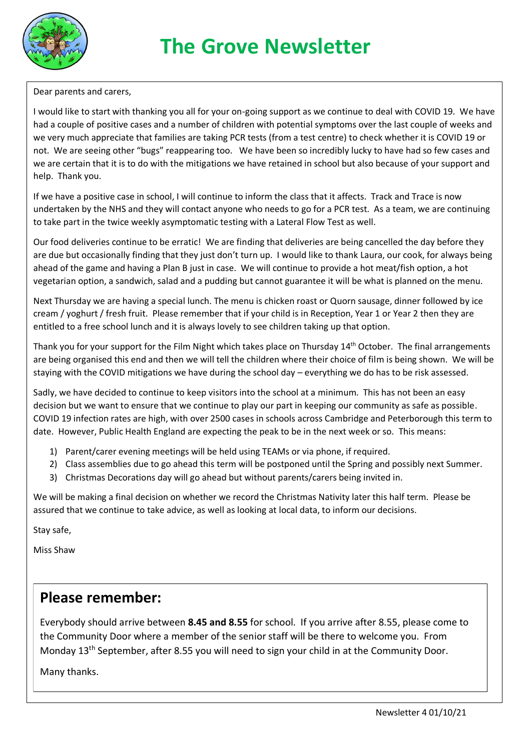

## **The Grove Newsletter**

Dear parents and carers,

I would like to start with thanking you all for your on-going support as we continue to deal with COVID 19. We have had a couple of positive cases and a number of children with potential symptoms over the last couple of weeks and we very much appreciate that families are taking PCR tests (from a test centre) to check whether it is COVID 19 or not. We are seeing other "bugs" reappearing too. We have been so incredibly lucky to have had so few cases and we are certain that it is to do with the mitigations we have retained in school but also because of your support and help. Thank you.

If we have a positive case in school, I will continue to inform the class that it affects. Track and Trace is now undertaken by the NHS and they will contact anyone who needs to go for a PCR test. As a team, we are continuing to take part in the twice weekly asymptomatic testing with a Lateral Flow Test as well.

Our food deliveries continue to be erratic! We are finding that deliveries are being cancelled the day before they are due but occasionally finding that they just don't turn up. I would like to thank Laura, our cook, for always being ahead of the game and having a Plan B just in case. We will continue to provide a hot meat/fish option, a hot vegetarian option, a sandwich, salad and a pudding but cannot guarantee it will be what is planned on the menu.

Next Thursday we are having a special lunch. The menu is chicken roast or Quorn sausage, dinner followed by ice cream / yoghurt / fresh fruit. Please remember that if your child is in Reception, Year 1 or Year 2 then they are entitled to a free school lunch and it is always lovely to see children taking up that option.

Thank you for your support for the Film Night which takes place on Thursday 14<sup>th</sup> October. The final arrangements are being organised this end and then we will tell the children where their choice of film is being shown. We will be staying with the COVID mitigations we have during the school day – everything we do has to be risk assessed.

Sadly, we have decided to continue to keep visitors into the school at a minimum. This has not been an easy decision but we want to ensure that we continue to play our part in keeping our community as safe as possible. COVID 19 infection rates are high, with over 2500 cases in schools across Cambridge and Peterborough this term to date. However, Public Health England are expecting the peak to be in the next week or so. This means:

- 1) Parent/carer evening meetings will be held using TEAMs or via phone, if required.
- 2) Class assemblies due to go ahead this term will be postponed until the Spring and possibly next Summer.
- 3) Christmas Decorations day will go ahead but without parents/carers being invited in.

We will be making a final decision on whether we record the Christmas Nativity later this half term. Please be assured that we continue to take advice, as well as looking at local data, to inform our decisions.

Stay safe,

Miss Shaw

## **Please remember:**

Everybody should arrive between **8.45 and 8.55** for school. If you arrive after 8.55, please come to the Community Door where a member of the senior staff will be there to welcome you. From Monday 13<sup>th</sup> September, after 8.55 you will need to sign your child in at the Community Door.

Many thanks.